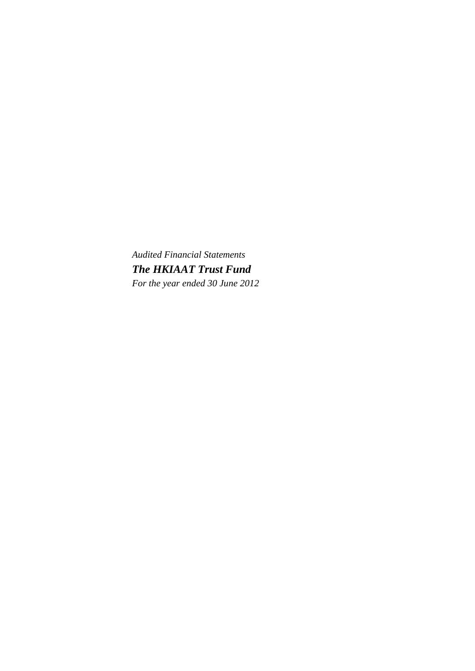*Audited Financial Statements The HKIAAT Trust Fund For the year ended 30 June 2012*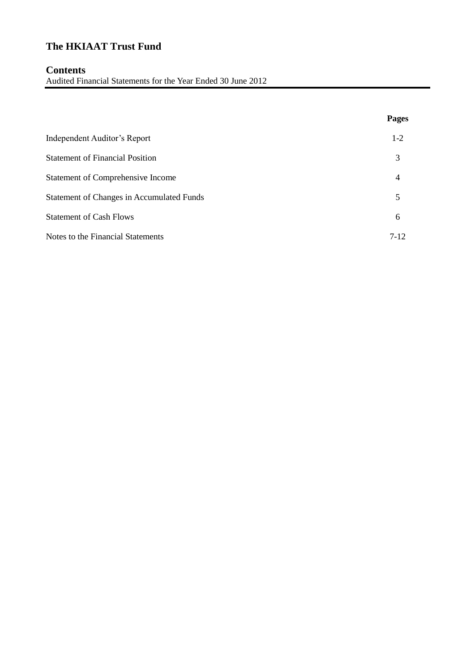# **Contents**

Audited Financial Statements for the Year Ended 30 June 2012

|                                           | <b>Pages</b>   |
|-------------------------------------------|----------------|
| Independent Auditor's Report              | $1-2$          |
| <b>Statement of Financial Position</b>    | 3              |
| <b>Statement of Comprehensive Income</b>  | $\overline{4}$ |
| Statement of Changes in Accumulated Funds | 5              |
| <b>Statement of Cash Flows</b>            | 6              |
| Notes to the Financial Statements         | 7-12           |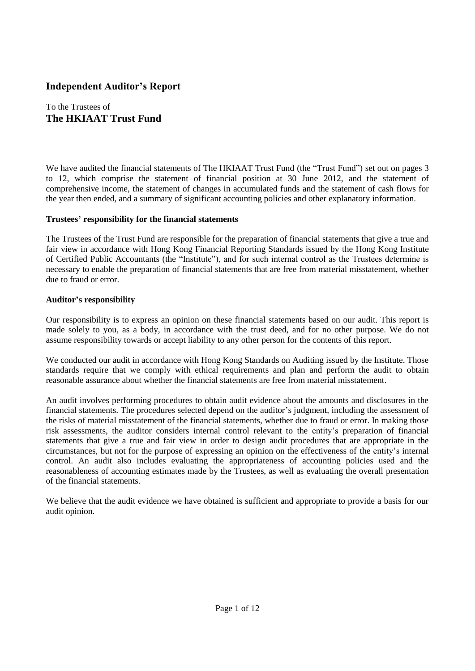# **Independent Auditor's Report**

To the Trustees of **The HKIAAT Trust Fund**

We have audited the financial statements of The HKIAAT Trust Fund (the "Trust Fund") set out on pages 3 to 12, which comprise the statement of financial position at 30 June 2012, and the statement of comprehensive income, the statement of changes in accumulated funds and the statement of cash flows for the year then ended, and a summary of significant accounting policies and other explanatory information.

### **Trustees' responsibility for the financial statements**

The Trustees of the Trust Fund are responsible for the preparation of financial statements that give a true and fair view in accordance with Hong Kong Financial Reporting Standards issued by the Hong Kong Institute of Certified Public Accountants (the "Institute"), and for such internal control as the Trustees determine is necessary to enable the preparation of financial statements that are free from material misstatement, whether due to fraud or error.

### **Auditor's responsibility**

Our responsibility is to express an opinion on these financial statements based on our audit. This report is made solely to you, as a body, in accordance with the trust deed, and for no other purpose. We do not assume responsibility towards or accept liability to any other person for the contents of this report.

We conducted our audit in accordance with Hong Kong Standards on Auditing issued by the Institute. Those standards require that we comply with ethical requirements and plan and perform the audit to obtain reasonable assurance about whether the financial statements are free from material misstatement.

An audit involves performing procedures to obtain audit evidence about the amounts and disclosures in the financial statements. The procedures selected depend on the auditor's judgment, including the assessment of the risks of material misstatement of the financial statements, whether due to fraud or error. In making those risk assessments, the auditor considers internal control relevant to the entity's preparation of financial statements that give a true and fair view in order to design audit procedures that are appropriate in the circumstances, but not for the purpose of expressing an opinion on the effectiveness of the entity's internal control. An audit also includes evaluating the appropriateness of accounting policies used and the reasonableness of accounting estimates made by the Trustees, as well as evaluating the overall presentation of the financial statements.

We believe that the audit evidence we have obtained is sufficient and appropriate to provide a basis for our audit opinion.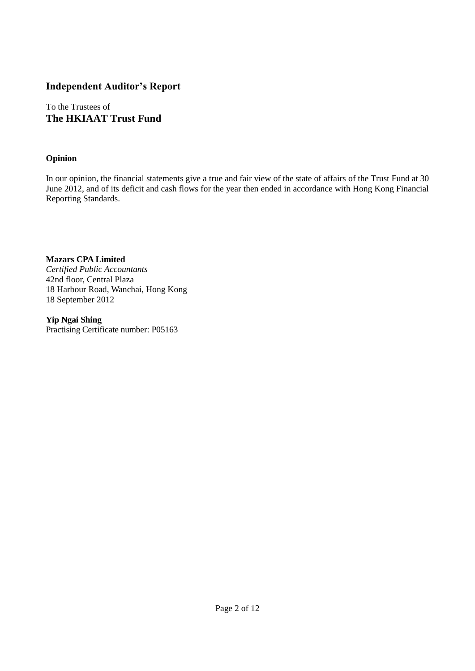# **Independent Auditor's Report**

To the Trustees of **The HKIAAT Trust Fund**

## **Opinion**

In our opinion, the financial statements give a true and fair view of the state of affairs of the Trust Fund at 30 June 2012, and of its deficit and cash flows for the year then ended in accordance with Hong Kong Financial Reporting Standards.

**Mazars CPA Limited** *Certified Public Accountants* 42nd floor, Central Plaza 18 Harbour Road, Wanchai, Hong Kong 18 September 2012

**Yip Ngai Shing** Practising Certificate number: P05163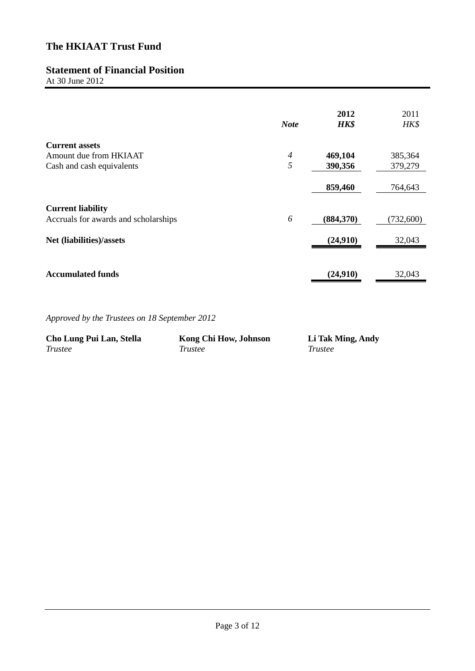# **Statement of Financial Position**

At 30 June 2012

|                                      | <b>Note</b>    | 2012<br>HK\$ | 2011<br>HK\$ |
|--------------------------------------|----------------|--------------|--------------|
| <b>Current assets</b>                |                |              |              |
| Amount due from HKIAAT               | $\overline{4}$ | 469,104      | 385,364      |
| Cash and cash equivalents            | 5              | 390,356      | 379,279      |
|                                      |                | 859,460      | 764,643      |
| <b>Current liability</b>             |                |              |              |
| Accruals for awards and scholarships | 6              | (884, 370)   | (732,600)    |
| Net (liabilities)/assets             |                | (24,910)     | 32,043       |
| <b>Accumulated funds</b>             |                | (24,910)     | 32,043       |

*Approved by the Trustees on 18 September 2012*

| Cho Lung Pui Lan, Stella | Kong Chi How, Johnson | Li Tak Ming, Andy |
|--------------------------|-----------------------|-------------------|
| Trustee                  | <i><u>Irustee</u></i> | Trustee           |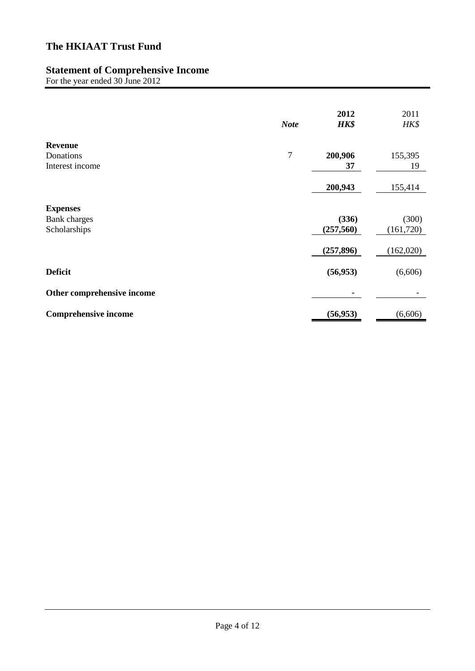## **Statement of Comprehensive Income**

For the year ended 30 June 2012

|                             | <b>Note</b> | 2012<br>HK\$ | 2011<br>HK\$ |
|-----------------------------|-------------|--------------|--------------|
|                             |             |              |              |
| <b>Revenue</b>              |             |              |              |
| Donations                   | 7           | 200,906      | 155,395      |
| Interest income             |             | 37           | 19           |
|                             |             | 200,943      | 155,414      |
| <b>Expenses</b>             |             |              |              |
| <b>Bank</b> charges         |             | (336)        | (300)        |
| Scholarships                |             | (257, 560)   | (161, 720)   |
|                             |             | (257, 896)   | (162,020)    |
| <b>Deficit</b>              |             | (56, 953)    | (6,606)      |
| Other comprehensive income  |             |              |              |
| <b>Comprehensive income</b> |             | (56, 953)    | (6,606)      |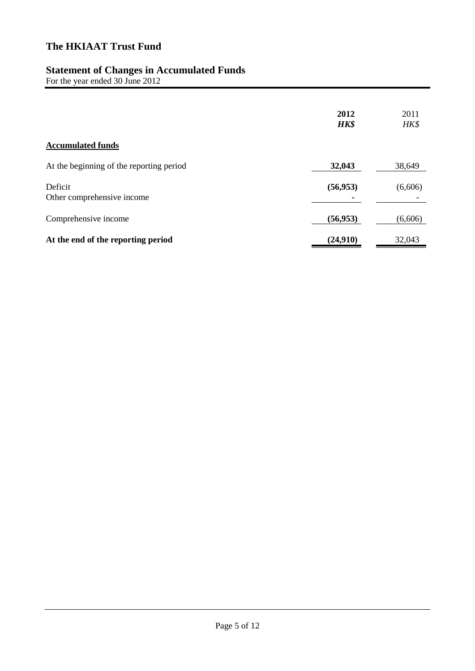# **Statement of Changes in Accumulated Funds**

For the year ended 30 June 2012

|                                          | 2012<br><b>HK\$</b> | 2011<br>HK\$ |
|------------------------------------------|---------------------|--------------|
| <b>Accumulated funds</b>                 |                     |              |
| At the beginning of the reporting period | 32,043              | 38,649       |
| Deficit<br>Other comprehensive income    | (56, 953)           | (6,606)      |
| Comprehensive income                     | (56, 953)           | (6,606)      |
| At the end of the reporting period       | (24,910)            | 32,043       |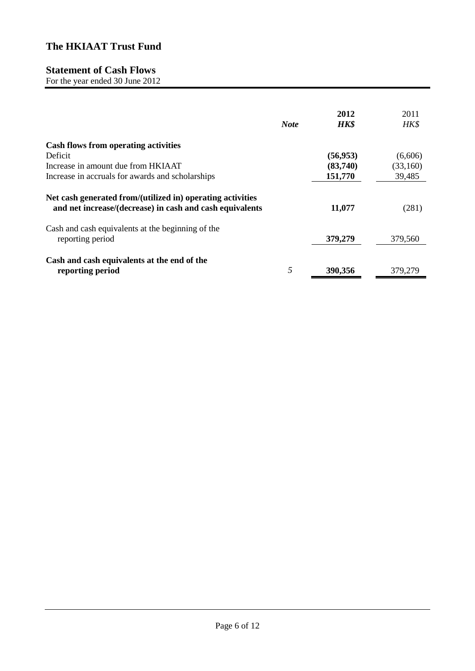# **Statement of Cash Flows**

For the year ended 30 June 2012

|                                                                                                                        | <b>Note</b> | 2012<br><b>HK\$</b> | 2011<br>HK\$ |
|------------------------------------------------------------------------------------------------------------------------|-------------|---------------------|--------------|
| <b>Cash flows from operating activities</b>                                                                            |             |                     |              |
| Deficit                                                                                                                |             | (56, 953)           | (6,606)      |
| Increase in amount due from HKIAAT                                                                                     |             | (83,740)            | (33,160)     |
| Increase in accruals for awards and scholarships                                                                       |             | 151,770             | 39,485       |
| Net cash generated from/(utilized in) operating activities<br>and net increase/(decrease) in cash and cash equivalents |             | 11,077              | (281)        |
| Cash and cash equivalents at the beginning of the<br>reporting period                                                  |             | 379,279             | 379,560      |
| Cash and cash equivalents at the end of the<br>reporting period                                                        | 5           | 390,356             | 379,279      |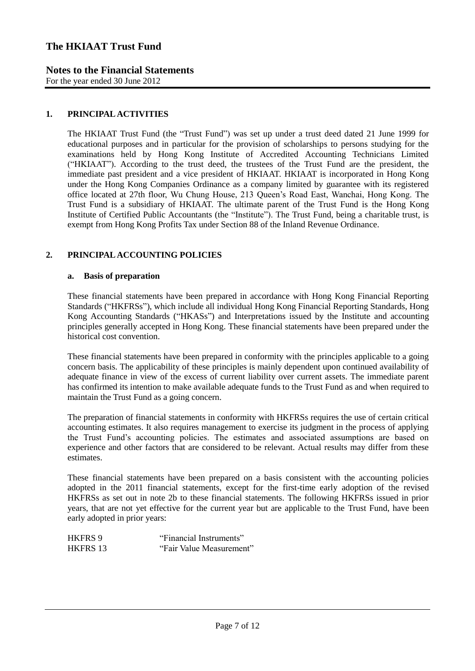## **Notes to the Financial Statements**

For the year ended 30 June 2012

### **1. PRINCIPAL ACTIVITIES**

The HKIAAT Trust Fund (the "Trust Fund") was set up under a trust deed dated 21 June 1999 for educational purposes and in particular for the provision of scholarships to persons studying for the examinations held by Hong Kong Institute of Accredited Accounting Technicians Limited ("HKIAAT"). According to the trust deed, the trustees of the Trust Fund are the president, the immediate past president and a vice president of HKIAAT. HKIAAT is incorporated in Hong Kong under the Hong Kong Companies Ordinance as a company limited by guarantee with its registered office located at 27th floor, Wu Chung House, 213 Queen's Road East, Wanchai, Hong Kong. The Trust Fund is a subsidiary of HKIAAT. The ultimate parent of the Trust Fund is the Hong Kong Institute of Certified Public Accountants (the "Institute"). The Trust Fund, being a charitable trust, is exempt from Hong Kong Profits Tax under Section 88 of the Inland Revenue Ordinance.

### **2. PRINCIPAL ACCOUNTING POLICIES**

#### **a. Basis of preparation**

These financial statements have been prepared in accordance with Hong Kong Financial Reporting Standards ("HKFRSs"), which include all individual Hong Kong Financial Reporting Standards, Hong Kong Accounting Standards ("HKASs") and Interpretations issued by the Institute and accounting principles generally accepted in Hong Kong. These financial statements have been prepared under the historical cost convention.

These financial statements have been prepared in conformity with the principles applicable to a going concern basis. The applicability of these principles is mainly dependent upon continued availability of adequate finance in view of the excess of current liability over current assets. The immediate parent has confirmed its intention to make available adequate funds to the Trust Fund as and when required to maintain the Trust Fund as a going concern.

The preparation of financial statements in conformity with HKFRSs requires the use of certain critical accounting estimates. It also requires management to exercise its judgment in the process of applying the Trust Fund's accounting policies. The estimates and associated assumptions are based on experience and other factors that are considered to be relevant. Actual results may differ from these estimates.

These financial statements have been prepared on a basis consistent with the accounting policies adopted in the 2011 financial statements, except for the first-time early adoption of the revised HKFRSs as set out in note 2b to these financial statements. The following HKFRSs issued in prior years, that are not yet effective for the current year but are applicable to the Trust Fund, have been early adopted in prior years:

| <b>HKFRS 9</b>  | "Financial Instruments"  |
|-----------------|--------------------------|
| <b>HKFRS 13</b> | "Fair Value Measurement" |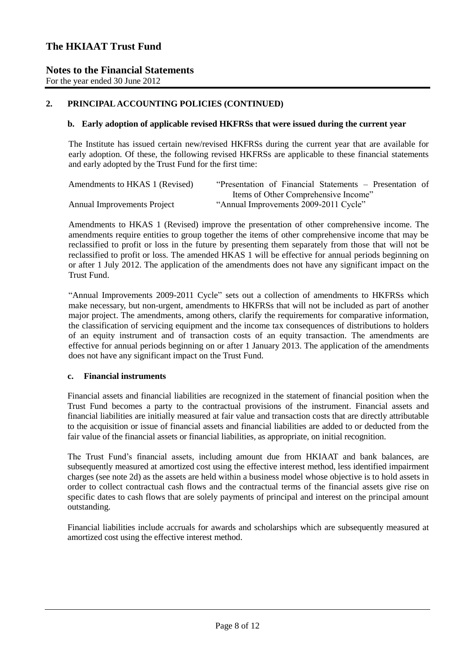### **Notes to the Financial Statements**

For the year ended 30 June 2012

### **2. PRINCIPAL ACCOUNTING POLICIES (CONTINUED)**

#### **b. Early adoption of applicable revised HKFRSs that were issued during the current year**

The Institute has issued certain new/revised HKFRSs during the current year that are available for early adoption. Of these, the following revised HKFRSs are applicable to these financial statements and early adopted by the Trust Fund for the first time:

| Amendments to HKAS 1 (Revised)     |                                       | "Presentation of Financial Statements – Presentation of |
|------------------------------------|---------------------------------------|---------------------------------------------------------|
|                                    | Items of Other Comprehensive Income"  |                                                         |
| <b>Annual Improvements Project</b> | "Annual Improvements 2009-2011 Cycle" |                                                         |

Amendments to HKAS 1 (Revised) improve the presentation of other comprehensive income. The amendments require entities to group together the items of other comprehensive income that may be reclassified to profit or loss in the future by presenting them separately from those that will not be reclassified to profit or loss. The amended HKAS 1 will be effective for annual periods beginning on or after 1 July 2012. The application of the amendments does not have any significant impact on the Trust Fund.

"Annual Improvements 2009-2011 Cycle" sets out a collection of amendments to HKFRSs which make necessary, but non-urgent, amendments to HKFRSs that will not be included as part of another major project. The amendments, among others, clarify the requirements for comparative information, the classification of servicing equipment and the income tax consequences of distributions to holders of an equity instrument and of transaction costs of an equity transaction. The amendments are effective for annual periods beginning on or after 1 January 2013. The application of the amendments does not have any significant impact on the Trust Fund.

#### **c. Financial instruments**

Financial assets and financial liabilities are recognized in the statement of financial position when the Trust Fund becomes a party to the contractual provisions of the instrument. Financial assets and financial liabilities are initially measured at fair value and transaction costs that are directly attributable to the acquisition or issue of financial assets and financial liabilities are added to or deducted from the fair value of the financial assets or financial liabilities, as appropriate, on initial recognition.

The Trust Fund's financial assets, including amount due from HKIAAT and bank balances, are subsequently measured at amortized cost using the effective interest method, less identified impairment charges (see note 2d) as the assets are held within a business model whose objective is to hold assets in order to collect contractual cash flows and the contractual terms of the financial assets give rise on specific dates to cash flows that are solely payments of principal and interest on the principal amount outstanding.

Financial liabilities include accruals for awards and scholarships which are subsequently measured at amortized cost using the effective interest method.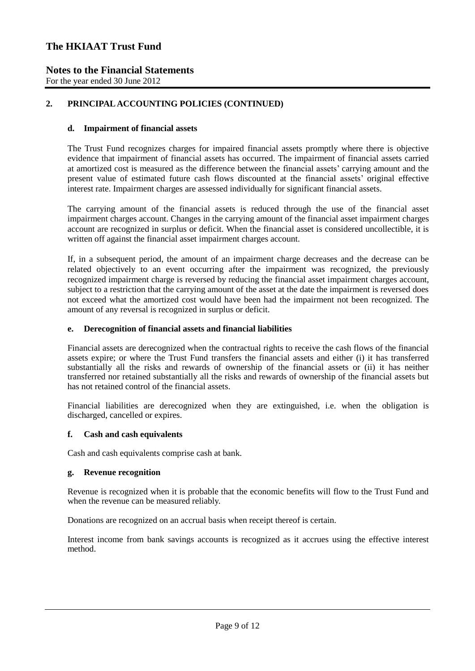## **Notes to the Financial Statements**

For the year ended 30 June 2012

### **2. PRINCIPAL ACCOUNTING POLICIES (CONTINUED)**

#### **d. Impairment of financial assets**

The Trust Fund recognizes charges for impaired financial assets promptly where there is objective evidence that impairment of financial assets has occurred. The impairment of financial assets carried at amortized cost is measured as the difference between the financial assets' carrying amount and the present value of estimated future cash flows discounted at the financial assets' original effective interest rate. Impairment charges are assessed individually for significant financial assets.

The carrying amount of the financial assets is reduced through the use of the financial asset impairment charges account. Changes in the carrying amount of the financial asset impairment charges account are recognized in surplus or deficit. When the financial asset is considered uncollectible, it is written off against the financial asset impairment charges account.

If, in a subsequent period, the amount of an impairment charge decreases and the decrease can be related objectively to an event occurring after the impairment was recognized, the previously recognized impairment charge is reversed by reducing the financial asset impairment charges account, subject to a restriction that the carrying amount of the asset at the date the impairment is reversed does not exceed what the amortized cost would have been had the impairment not been recognized. The amount of any reversal is recognized in surplus or deficit.

#### **e. Derecognition of financial assets and financial liabilities**

Financial assets are derecognized when the contractual rights to receive the cash flows of the financial assets expire; or where the Trust Fund transfers the financial assets and either (i) it has transferred substantially all the risks and rewards of ownership of the financial assets or (ii) it has neither transferred nor retained substantially all the risks and rewards of ownership of the financial assets but has not retained control of the financial assets.

Financial liabilities are derecognized when they are extinguished, i.e. when the obligation is discharged, cancelled or expires.

### **f. Cash and cash equivalents**

Cash and cash equivalents comprise cash at bank.

#### **g. Revenue recognition**

Revenue is recognized when it is probable that the economic benefits will flow to the Trust Fund and when the revenue can be measured reliably.

Donations are recognized on an accrual basis when receipt thereof is certain.

Interest income from bank savings accounts is recognized as it accrues using the effective interest method.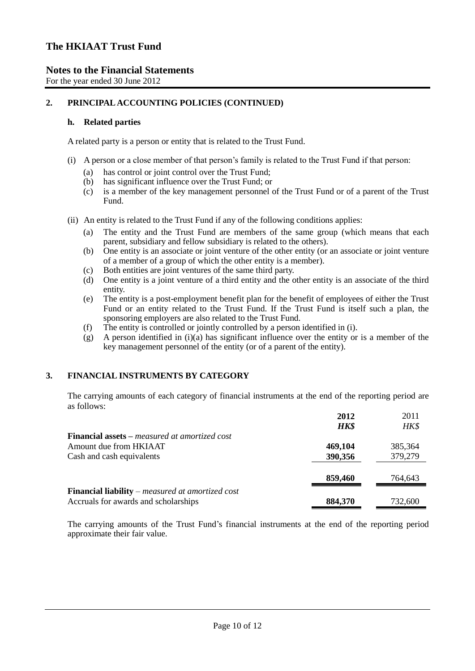### **Notes to the Financial Statements**

For the year ended 30 June 2012

### **2. PRINCIPAL ACCOUNTING POLICIES (CONTINUED)**

#### **h. Related parties**

A related party is a person or entity that is related to the Trust Fund.

- (i) A person or a close member of that person's family is related to the Trust Fund if that person:
	- (a) has control or joint control over the Trust Fund;
	- (b) has significant influence over the Trust Fund; or
	- (c) is a member of the key management personnel of the Trust Fund or of a parent of the Trust Fund.
- (ii) An entity is related to the Trust Fund if any of the following conditions applies:
	- (a) The entity and the Trust Fund are members of the same group (which means that each parent, subsidiary and fellow subsidiary is related to the others).
	- (b) One entity is an associate or joint venture of the other entity (or an associate or joint venture of a member of a group of which the other entity is a member).
	- (c) Both entities are joint ventures of the same third party.
	- (d) One entity is a joint venture of a third entity and the other entity is an associate of the third entity.
	- (e) The entity is a post-employment benefit plan for the benefit of employees of either the Trust Fund or an entity related to the Trust Fund. If the Trust Fund is itself such a plan, the sponsoring employers are also related to the Trust Fund.
	- (f) The entity is controlled or jointly controlled by a person identified in (i).
	- (g) A person identified in  $(i)(a)$  has significant influence over the entity or is a member of the key management personnel of the entity (or of a parent of the entity).

## **3. FINANCIAL INSTRUMENTS BY CATEGORY**

The carrying amounts of each category of financial instruments at the end of the reporting period are as follows:

|                                                         | 2012    | 2011    |
|---------------------------------------------------------|---------|---------|
|                                                         | HK\$    | HK\$    |
| <b>Financial assets</b> – measured at amortized cost    |         |         |
| Amount due from HKIAAT                                  | 469,104 | 385,364 |
| Cash and cash equivalents                               | 390,356 | 379,279 |
|                                                         | 859,460 | 764,643 |
| <b>Financial liability</b> – measured at amortized cost |         |         |
| Accruals for awards and scholarships                    | 884,370 | 732,600 |

The carrying amounts of the Trust Fund's financial instruments at the end of the reporting period approximate their fair value.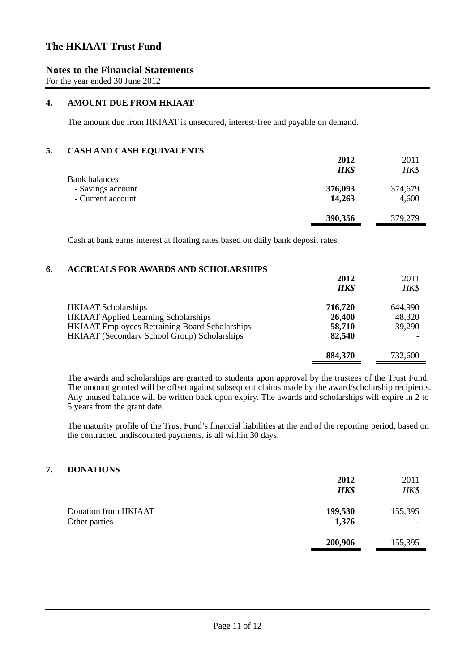### **Notes to the Financial Statements**

For the year ended 30 June 2012

### **4. AMOUNT DUE FROM HKIAAT**

The amount due from HKIAAT is unsecured, interest-free and payable on demand.

### **5. CASH AND CASH EQUIVALENTS**

|                   | 2012<br>HK\$ | 2011<br>HK\$ |
|-------------------|--------------|--------------|
| Bank balances     |              |              |
| - Savings account | 376,093      | 374,679      |
| - Current account | 14,263       | 4,600        |
|                   |              |              |
|                   | 390,356      | 379,279      |

Cash at bank earns interest at floating rates based on daily bank deposit rates.

#### **6. ACCRUALS FOR AWARDS AND SCHOLARSHIPS**

|                                                       | 2012        | 2011    |
|-------------------------------------------------------|-------------|---------|
|                                                       | <b>HK\$</b> | HK\$    |
| <b>HKIAAT</b> Scholarships                            | 716,720     | 644,990 |
| <b>HKIAAT</b> Applied Learning Scholarships           | 26,400      | 48,320  |
| <b>HKIAAT</b> Employees Retraining Board Scholarships | 58,710      | 39,290  |
| <b>HKIAAT</b> (Secondary School Group) Scholarships   | 82,540      |         |
|                                                       | 884,370     | 732,600 |

The awards and scholarships are granted to students upon approval by the trustees of the Trust Fund. The amount granted will be offset against subsequent claims made by the award/scholarship recipients. Any unused balance will be written back upon expiry. The awards and scholarships will expire in 2 to 5 years from the grant date.

The maturity profile of the Trust Fund's financial liabilities at the end of the reporting period, based on the contracted undiscounted payments, is all within 30 days.

## **7. DONATIONS**

|                                       | 2012<br>HK\$     | 2011<br>HK\$                        |
|---------------------------------------|------------------|-------------------------------------|
| Donation from HKIAAT<br>Other parties | 199,530<br>1,376 | 155,395<br>$\overline{\phantom{0}}$ |
|                                       | 200,906          | 155,395                             |